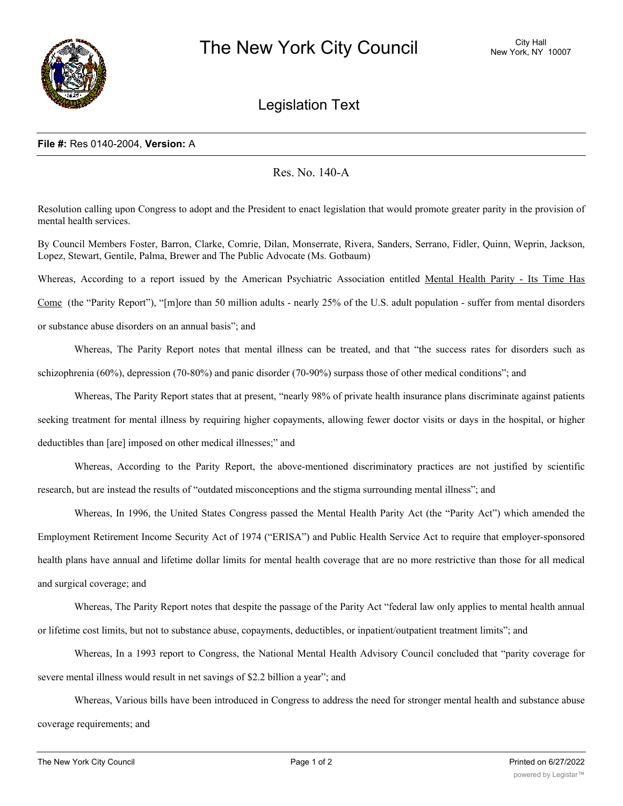

## Legislation Text

## **File #:** Res 0140-2004, **Version:** A

## Res. No. 140-A

Resolution calling upon Congress to adopt and the President to enact legislation that would promote greater parity in the provision of mental health services.

By Council Members Foster, Barron, Clarke, Comrie, Dilan, Monserrate, Rivera, Sanders, Serrano, Fidler, Quinn, Weprin, Jackson, Lopez, Stewart, Gentile, Palma, Brewer and The Public Advocate (Ms. Gotbaum)

Whereas, According to a report issued by the American Psychiatric Association entitled Mental Health Parity - Its Time Has

Come (the "Parity Report"), "[m]ore than 50 million adults - nearly 25% of the U.S. adult population - suffer from mental disorders or substance abuse disorders on an annual basis"; and

Whereas, The Parity Report notes that mental illness can be treated, and that "the success rates for disorders such as

schizophrenia (60%), depression (70-80%) and panic disorder (70-90%) surpass those of other medical conditions"; and

Whereas, The Parity Report states that at present, "nearly 98% of private health insurance plans discriminate against patients seeking treatment for mental illness by requiring higher copayments, allowing fewer doctor visits or days in the hospital, or higher deductibles than [are] imposed on other medical illnesses;" and

Whereas, According to the Parity Report, the above-mentioned discriminatory practices are not justified by scientific research, but are instead the results of "outdated misconceptions and the stigma surrounding mental illness"; and

Whereas, In 1996, the United States Congress passed the Mental Health Parity Act (the "Parity Act") which amended the Employment Retirement Income Security Act of 1974 ("ERISA") and Public Health Service Act to require that employer-sponsored health plans have annual and lifetime dollar limits for mental health coverage that are no more restrictive than those for all medical and surgical coverage; and

Whereas, The Parity Report notes that despite the passage of the Parity Act "federal law only applies to mental health annual or lifetime cost limits, but not to substance abuse, copayments, deductibles, or inpatient/outpatient treatment limits"; and

Whereas, In a 1993 report to Congress, the National Mental Health Advisory Council concluded that "parity coverage for severe mental illness would result in net savings of \$2.2 billion a year"; and

Whereas, Various bills have been introduced in Congress to address the need for stronger mental health and substance abuse coverage requirements; and

Whereas, Senators Domenici and Wellstone have introduced the Federal Mental Health Equitable Treatment Act of 2003 (S.